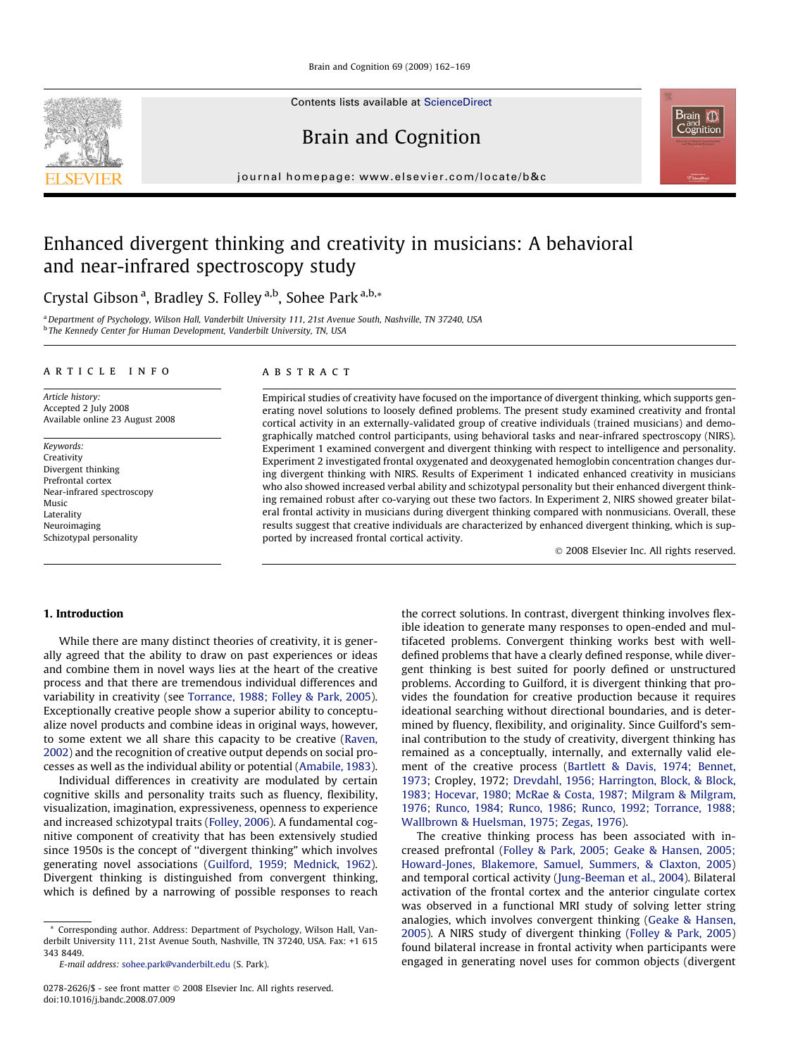Brain and Cognition 69 (2009) 162–169

Contents lists available at [ScienceDirect](http://www.sciencedirect.com/science/journal/02782626)

Brain and Cognition

journal homepage: [www.elsevier.com/locate/b&c](http://www.elsevier.com/locate/b&c)

# Enhanced divergent thinking and creativity in musicians: A behavioral and near-infrared spectroscopy study

Crystal Gibson <sup>a</sup>, Bradley S. Folley <sup>a,b</sup>, Sohee Park <sup>a,b,</sup>\*

a Department of Psychology, Wilson Hall, Vanderbilt University 111, 21st Avenue South, Nashville, TN 37240, USA **b** The Kennedy Center for Human Development, Vanderbilt University, TN, USA

#### A R T I C L E I N F O

Article history: Accepted 2 July 2008 Available online 23 August 2008

Keywords: Creativity Divergent thinking Prefrontal cortex Near-infrared spectroscopy Music Laterality Neuroimaging Schizotypal personality

## A B S T R A C T

Empirical studies of creativity have focused on the importance of divergent thinking, which supports generating novel solutions to loosely defined problems. The present study examined creativity and frontal cortical activity in an externally-validated group of creative individuals (trained musicians) and demographically matched control participants, using behavioral tasks and near-infrared spectroscopy (NIRS). Experiment 1 examined convergent and divergent thinking with respect to intelligence and personality. Experiment 2 investigated frontal oxygenated and deoxygenated hemoglobin concentration changes during divergent thinking with NIRS. Results of Experiment 1 indicated enhanced creativity in musicians who also showed increased verbal ability and schizotypal personality but their enhanced divergent thinking remained robust after co-varying out these two factors. In Experiment 2, NIRS showed greater bilateral frontal activity in musicians during divergent thinking compared with nonmusicians. Overall, these results suggest that creative individuals are characterized by enhanced divergent thinking, which is supported by increased frontal cortical activity.

 $\odot$  2008 Elsevier Inc. All rights reserved.

# 1. Introduction

While there are many distinct theories of creativity, it is generally agreed that the ability to draw on past experiences or ideas and combine them in novel ways lies at the heart of the creative process and that there are tremendous individual differences and variability in creativity (see [Torrance,](#page-6-0) 1988; Folley & Park, 2005). Exceptionally creative people show a superior ability to conceptualize novel products and combine ideas in original ways, however, to some extent we all share this capacity to be creative ([Raven,](#page-7-0) [2002\)](#page-7-0) and the recognition of creative output depends on social processes as well as the individual ability or potential ([Amabile,](#page-6-0) 1983).

Individual differences in creativity are modulated by certain cognitive skills and personality traits such as fluency, flexibility, visualization, imagination, expressiveness, openness to experience and increased schizotypal traits [\(Folley,](#page-6-0) 2006). A fundamental cognitive component of creativity that has been extensively studied since 1950s is the concept of ''divergent thinking" which involves generating novel associations (Guilford, 1959; [Mednick,](#page-7-0) 1962). Divergent thinking is distinguished from convergent thinking, which is defined by a narrowing of possible responses to reach

\* Corresponding author. Address: Department of Psychology, Wilson Hall, Vanderbilt University 111, 21st Avenue South, Nashville, TN 37240, USA. Fax: +1 615 343 8449.

the correct solutions. In contrast, divergent thinking involves flexible ideation to generate many responses to open-ended and multifaceted problems. Convergent thinking works best with welldefined problems that have a clearly defined response, while divergent thinking is best suited for poorly defined or unstructured problems. According to Guilford, it is divergent thinking that provides the foundation for creative production because it requires ideational searching without directional boundaries, and is determined by fluency, flexibility, and originality. Since Guilford's seminal contribution to the study of creativity, divergent thinking has remained as a conceptually, internally, and externally valid element of the creative process (Bartlett & Davis, 1974; [Bennet,](#page-6-0) [1973;](#page-6-0) Cropley, 1972; Drevdahl, 1956; [Harrington,](#page-6-0) Block, & Block, 1983; Hocevar, 1980; McRae & Costa, 1987; Milgram & [Milgram,](#page-6-0) 1976; Runco, 1984; Runco, 1986; Runco, 1992; [Torrance,](#page-6-0) 1988; [Wallbrown](#page-6-0) & Huelsman, 1975; Zegas, 1976).

The creative thinking process has been associated with increased prefrontal (Folley & Park, 2005; Geake & [Hansen,](#page-6-0) 2005; [Howard-Jones,](#page-6-0) Blakemore, Samuel, Summers, & Claxton, 2005) and temporal cortical activity [\(Jung-Beeman](#page-7-0) et al., 2004). Bilateral activation of the frontal cortex and the anterior cingulate cortex was observed in a functional MRI study of solving letter string analogies, which involves convergent thinking (Geake & [Hansen,](#page-6-0) [2005\)](#page-6-0). A NIRS study of divergent thinking [\(Folley](#page-6-0) & Park, 2005) found bilateral increase in frontal activity when participants were engaged in generating novel uses for common objects (divergent



E-mail address: [sohee.park@vanderbilt.edu](mailto:sohee.park@vanderbilt.edu) (S. Park).

<sup>0278-2626/\$ -</sup> see front matter @ 2008 Elsevier Inc. All rights reserved. doi:10.1016/j.bandc.2008.07.009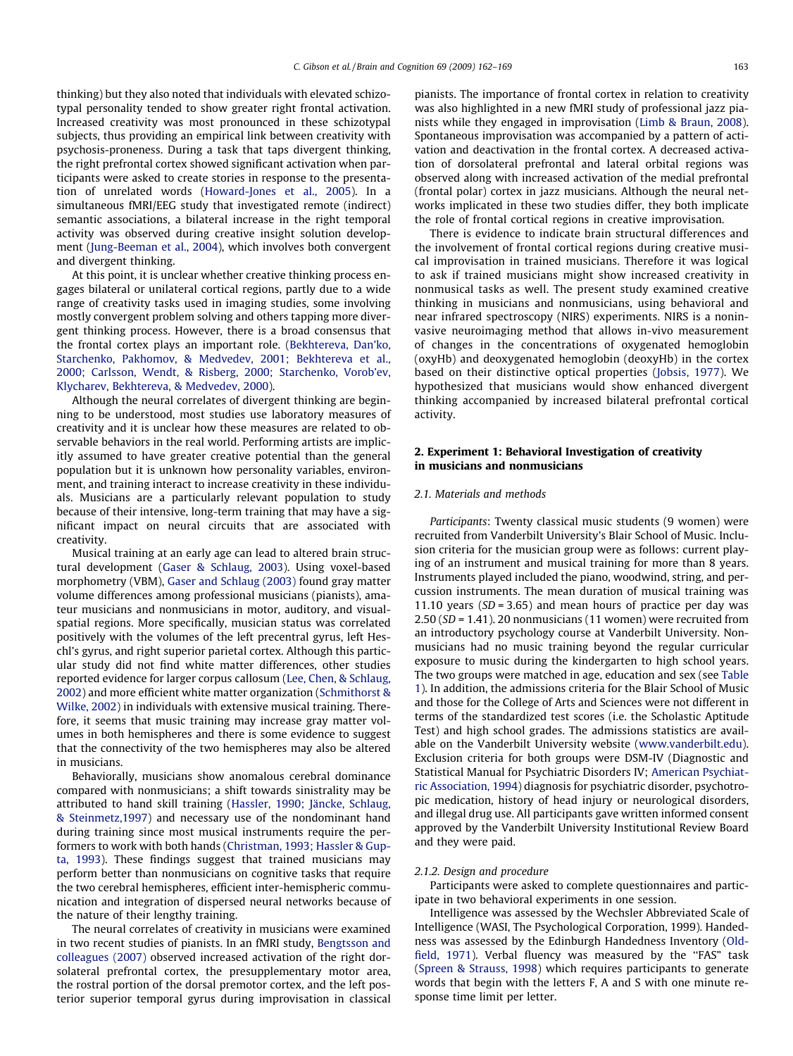thinking) but they also noted that individuals with elevated schizotypal personality tended to show greater right frontal activation. Increased creativity was most pronounced in these schizotypal subjects, thus providing an empirical link between creativity with psychosis-proneness. During a task that taps divergent thinking, the right prefrontal cortex showed significant activation when participants were asked to create stories in response to the presentation of unrelated words ([Howard-Jones](#page-7-0) et al., 2005). In a simultaneous fMRI/EEG study that investigated remote (indirect) semantic associations, a bilateral increase in the right temporal activity was observed during creative insight solution development [\(Jung-Beeman](#page-7-0) et al., 2004), which involves both convergent and divergent thinking.

At this point, it is unclear whether creative thinking process engages bilateral or unilateral cortical regions, partly due to a wide range of creativity tasks used in imaging studies, some involving mostly convergent problem solving and others tapping more divergent thinking process. However, there is a broad consensus that the frontal cortex plays an important role. ([Bekhtereva,](#page-6-0) Dan'ko, [Starchenko,](#page-6-0) Pakhomov, & Medvedev, 2001; Bekhtereva et al., 2000; Carlsson, Wendt, & Risberg, 2000; [Starchenko,](#page-6-0) Vorob'ev, Klycharev, [Bekhtereva,](#page-6-0) & Medvedev, 2000).

Although the neural correlates of divergent thinking are beginning to be understood, most studies use laboratory measures of creativity and it is unclear how these measures are related to observable behaviors in the real world. Performing artists are implicitly assumed to have greater creative potential than the general population but it is unknown how personality variables, environment, and training interact to increase creativity in these individuals. Musicians are a particularly relevant population to study because of their intensive, long-term training that may have a significant impact on neural circuits that are associated with creativity.

Musical training at an early age can lead to altered brain structural development (Gaser & [Schlaug,](#page-6-0) 2003). Using voxel-based morphometry (VBM), Gaser and [Schlaug](#page-6-0) (2003) found gray matter volume differences among professional musicians (pianists), amateur musicians and nonmusicians in motor, auditory, and visualspatial regions. More specifically, musician status was correlated positively with the volumes of the left precentral gyrus, left Heschl's gyrus, and right superior parietal cortex. Although this particular study did not find white matter differences, other studies reported evidence for larger corpus callosum (Lee, Chen, & [Schlaug,](#page-7-0) [2002](#page-7-0)) and more efficient white matter organization [\(Schmithorst](#page-7-0) & [Wilke,](#page-7-0) 2002) in individuals with extensive musical training. Therefore, it seems that music training may increase gray matter volumes in both hemispheres and there is some evidence to suggest that the connectivity of the two hemispheres may also be altered in musicians.

Behaviorally, musicians show anomalous cerebral dominance compared with nonmusicians; a shift towards sinistrality may be attributed to hand skill training (Hassler, 1990; Jäncke, [Schlaug,](#page-7-0) & [Steinmetz,1997\)](#page-7-0) and necessary use of the nondominant hand during training since most musical instruments require the performers to work with both hands ([Christman,](#page-6-0) 1993; Hassler & Gupta, [1993\)](#page-6-0). These findings suggest that trained musicians may perform better than nonmusicians on cognitive tasks that require the two cerebral hemispheres, efficient inter-hemispheric communication and integration of dispersed neural networks because of the nature of their lengthy training.

The neural correlates of creativity in musicians were examined in two recent studies of pianists. In an fMRI study, [Bengtsson](#page-6-0) and [colleagues](#page-6-0) (2007) observed increased activation of the right dorsolateral prefrontal cortex, the presupplementary motor area, the rostral portion of the dorsal premotor cortex, and the left posterior superior temporal gyrus during improvisation in classical pianists. The importance of frontal cortex in relation to creativity was also highlighted in a new fMRI study of professional jazz pianists while they engaged in improvisation ([Limb](#page-7-0) & [Braun,](#page-7-0) 2008). Spontaneous improvisation was accompanied by a pattern of activation and deactivation in the frontal cortex. A decreased activation of dorsolateral prefrontal and lateral orbital regions was observed along with increased activation of the medial prefrontal (frontal polar) cortex in jazz musicians. Although the neural networks implicated in these two studies differ, they both implicate the role of frontal cortical regions in creative improvisation.

There is evidence to indicate brain structural differences and the involvement of frontal cortical regions during creative musical improvisation in trained musicians. Therefore it was logical to ask if trained musicians might show increased creativity in nonmusical tasks as well. The present study examined creative thinking in musicians and nonmusicians, using behavioral and near infrared spectroscopy (NIRS) experiments. NIRS is a noninvasive neuroimaging method that allows in-vivo measurement of changes in the concentrations of oxygenated hemoglobin (oxyHb) and deoxygenated hemoglobin (deoxyHb) in the cortex based on their distinctive optical properties ([Jobsis,](#page-7-0) 1977). We hypothesized that musicians would show enhanced divergent thinking accompanied by increased bilateral prefrontal cortical activity.

# 2. Experiment 1: Behavioral Investigation of creativity in musicians and nonmusicians

## 2.1. Materials and methods

Participants: Twenty classical music students (9 women) were recruited from Vanderbilt University's Blair School of Music. Inclusion criteria for the musician group were as follows: current playing of an instrument and musical training for more than 8 years. Instruments played included the piano, woodwind, string, and percussion instruments. The mean duration of musical training was 11.10 years ( $SD = 3.65$ ) and mean hours of practice per day was 2.50 (SD = 1.41). 20 nonmusicians (11 women) were recruited from an introductory psychology course at Vanderbilt University. Nonmusicians had no music training beyond the regular curricular exposure to music during the kindergarten to high school years. The two groups were matched in age, education and sex (see [Table](#page-2-0) [1](#page-2-0)). In addition, the admissions criteria for the Blair School of Music and those for the College of Arts and Sciences were not different in terms of the standardized test scores (i.e. the Scholastic Aptitude Test) and high school grades. The admissions statistics are available on the Vanderbilt University website ([www.vanderbilt.edu\)](http://www.vanderbilt.edu). Exclusion criteria for both groups were DSM-IV (Diagnostic and Statistical Manual for Psychiatric Disorders IV; [American](#page-6-0) Psychiatric [Association,](#page-6-0) 1994) diagnosis for psychiatric disorder, psychotropic medication, history of head injury or neurological disorders, and illegal drug use. All participants gave written informed consent approved by the Vanderbilt University Institutional Review Board and they were paid.

#### 2.1.2. Design and procedure

Participants were asked to complete questionnaires and participate in two behavioral experiments in one session.

Intelligence was assessed by the Wechsler Abbreviated Scale of Intelligence (WASI, The Psychological Corporation, 1999). Handedness was assessed by the Edinburgh Handedness Inventory [\(Old-](#page-7-0)field, [1971](#page-7-0)). Verbal fluency was measured by the "FAS" task (Spreen & [Strauss,](#page-7-0) 1998) which requires participants to generate words that begin with the letters F, A and S with one minute response time limit per letter.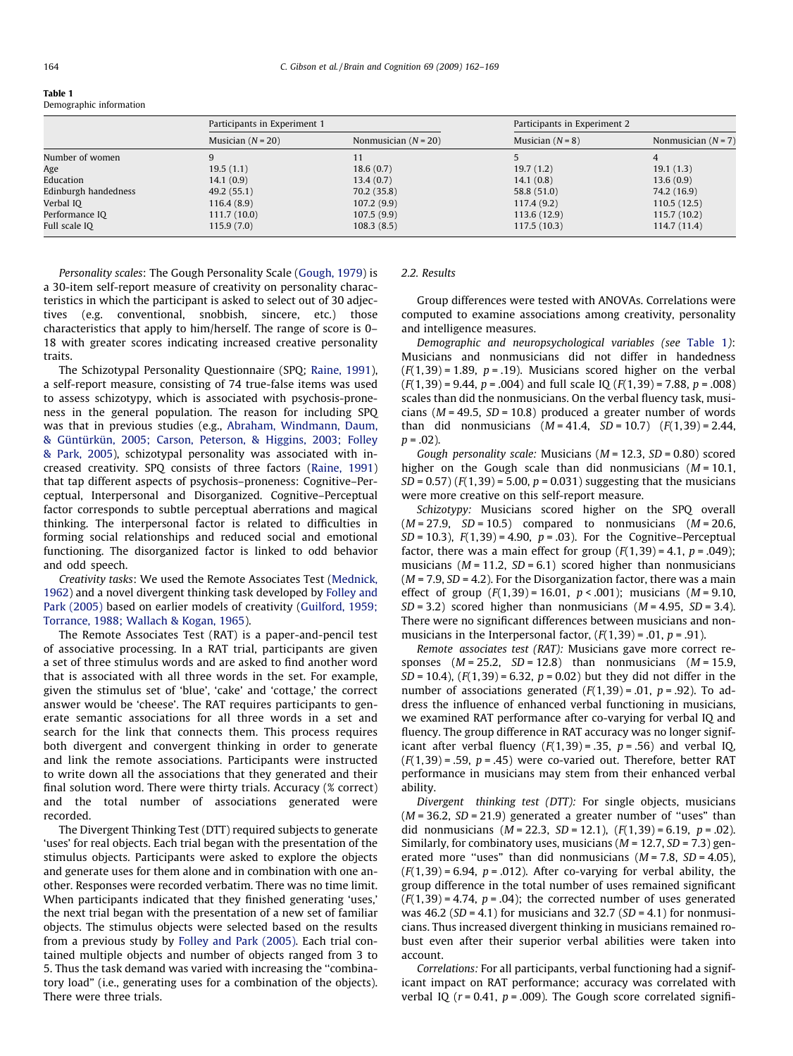<span id="page-2-0"></span>

Demographic information

|                      | Participants in Experiment 1 |                        | Participants in Experiment 2 |                       |
|----------------------|------------------------------|------------------------|------------------------------|-----------------------|
|                      | Musician $(N = 20)$          | Nonmusician $(N = 20)$ | Musician $(N = 8)$           | Nonmusician $(N = 7)$ |
| Number of women      | 9                            |                        |                              | 4                     |
| Age                  | 19.5(1.1)                    | 18.6(0.7)              | 19.7(1.2)                    | 19.1(1.3)             |
| Education            | 14.1(0.9)                    | 13.4(0.7)              | 14.1(0.8)                    | 13.6(0.9)             |
| Edinburgh handedness | 49.2(55.1)                   | 70.2(35.8)             | 58.8 (51.0)                  | 74.2 (16.9)           |
| Verbal IO            | 116.4(8.9)                   | 107.2(9.9)             | 117.4(9.2)                   | 110.5(12.5)           |
| Performance IQ       | 111.7(10.0)                  | 107.5(9.9)             | 113.6 (12.9)                 | 115.7(10.2)           |
| Full scale IQ        | 115.9(7.0)                   | 108.3(8.5)             | 117.5(10.3)                  | 114.7(11.4)           |

Personality scales: The Gough Personality Scale [\(Gough,](#page-7-0) 1979) is a 30-item self-report measure of creativity on personality characteristics in which the participant is asked to select out of 30 adjectives (e.g. conventional, snobbish, sincere, etc.) those characteristics that apply to him/herself. The range of score is 0– 18 with greater scores indicating increased creative personality traits.

The Schizotypal Personality Questionnaire (SPQ; [Raine,](#page-7-0) 1991), a self-report measure, consisting of 74 true-false items was used to assess schizotypy, which is associated with psychosis-proneness in the general population. The reason for including SPQ was that in previous studies (e.g., Abraham, [Windmann,](#page-6-0) Daum, & [Güntürkün,](#page-6-0) 2005; Carson, Peterson, & Higgins, 2003; Folley & Park, [2005\)](#page-6-0), schizotypal personality was associated with increased creativity. SPQ consists of three factors ([Raine,](#page-7-0) 1991) that tap different aspects of psychosis–proneness: Cognitive–Perceptual, Interpersonal and Disorganized. Cognitive–Perceptual factor corresponds to subtle perceptual aberrations and magical thinking. The interpersonal factor is related to difficulties in forming social relationships and reduced social and emotional functioning. The disorganized factor is linked to odd behavior and odd speech.

Creativity tasks: We used the Remote Associates Test [\(Mednick,](#page-7-0) [1962\)](#page-7-0) and a novel divergent thinking task developed by [Folley](#page-6-0) and Park [\(2005\)](#page-6-0) based on earlier models of creativity ([Guilford,](#page-7-0) 1959; [Torrance,](#page-7-0) 1988; Wallach & Kogan, 1965).

The Remote Associates Test (RAT) is a paper-and-pencil test of associative processing. In a RAT trial, participants are given a set of three stimulus words and are asked to find another word that is associated with all three words in the set. For example, given the stimulus set of 'blue', 'cake' and 'cottage,' the correct answer would be 'cheese'. The RAT requires participants to generate semantic associations for all three words in a set and search for the link that connects them. This process requires both divergent and convergent thinking in order to generate and link the remote associations. Participants were instructed to write down all the associations that they generated and their final solution word. There were thirty trials. Accuracy (% correct) and the total number of associations generated were recorded.

The Divergent Thinking Test (DTT) required subjects to generate 'uses' for real objects. Each trial began with the presentation of the stimulus objects. Participants were asked to explore the objects and generate uses for them alone and in combination with one another. Responses were recorded verbatim. There was no time limit. When participants indicated that they finished generating 'uses,' the next trial began with the presentation of a new set of familiar objects. The stimulus objects were selected based on the results from a previous study by Folley and Park [\(2005\)](#page-6-0). Each trial contained multiple objects and number of objects ranged from 3 to 5. Thus the task demand was varied with increasing the ''combinatory load" (i.e., generating uses for a combination of the objects). There were three trials.

#### 2.2. Results

Group differences were tested with ANOVAs. Correlations were computed to examine associations among creativity, personality and intelligence measures.

Demographic and neuropsychological variables (see Table 1): Musicians and nonmusicians did not differ in handedness  $(F(1,39) = 1.89, p = .19)$ . Musicians scored higher on the verbal  $(F(1,39) = 9.44, p = .004)$  and full scale IQ  $(F(1,39) = 7.88, p = .008)$ scales than did the nonmusicians. On the verbal fluency task, musicians ( $M = 49.5$ ,  $SD = 10.8$ ) produced a greater number of words than did nonmusicians  $(M = 41.4, SD = 10.7)$   $(F(1,39) = 2.44,$  $p = .02$ ).

Gough personality scale: Musicians ( $M = 12.3$ ,  $SD = 0.80$ ) scored higher on the Gough scale than did nonmusicians  $(M = 10.1$ ,  $SD = 0.57$  ( $F(1,39) = 5.00$ ,  $p = 0.031$ ) suggesting that the musicians were more creative on this self-report measure.

Schizotypy: Musicians scored higher on the SPQ overall  $(M = 27.9, SD = 10.5)$  compared to nonmusicians  $(M = 20.6,$  $SD = 10.3$ ),  $F(1,39) = 4.90$ ,  $p = .03$ ). For the Cognitive–Perceptual factor, there was a main effect for group  $(F(1,39) = 4.1, p = .049)$ ; musicians ( $M = 11.2$ ,  $SD = 6.1$ ) scored higher than nonmusicians  $(M = 7.9, SD = 4.2)$ . For the Disorganization factor, there was a main effect of group  $(F(1,39) = 16.01, p < .001)$ ; musicians  $(M = 9.10,$  $SD = 3.2$ ) scored higher than nonmusicians ( $M = 4.95$ ,  $SD = 3.4$ ). There were no significant differences between musicians and nonmusicians in the Interpersonal factor,  $(F(1,39) = .01, p = .91)$ .

Remote associates test (RAT): Musicians gave more correct responses  $(M = 25.2, SD = 12.8)$  than nonmusicians  $(M = 15.9,$  $SD = 10.4$ ),  $(F(1, 39) = 6.32, p = 0.02)$  but they did not differ in the number of associations generated  $(F(1,39) = .01, p = .92)$ . To address the influence of enhanced verbal functioning in musicians, we examined RAT performance after co-varying for verbal IQ and fluency. The group difference in RAT accuracy was no longer significant after verbal fluency  $(F(1,39) = .35, p = .56)$  and verbal IQ,  $(F(1,39) = .59, p = .45)$  were co-varied out. Therefore, better RAT performance in musicians may stem from their enhanced verbal ability.

Divergent thinking test (DTT): For single objects, musicians  $(M = 36.2, SD = 21.9)$  generated a greater number of "uses" than did nonmusicians  $(M = 22.3, SD = 12.1), (F(1,39) = 6.19, p = .02).$ Similarly, for combinatory uses, musicians ( $M = 12.7$ ,  $SD = 7.3$ ) generated more "uses" than did nonmusicians  $(M = 7.8, SD = 4.05)$ ,  $(F(1,39) = 6.94, p = .012)$ . After co-varying for verbal ability, the group difference in the total number of uses remained significant  $(F(1,39) = 4.74, p = .04)$ ; the corrected number of uses generated was 46.2 (SD = 4.1) for musicians and 32.7 (SD = 4.1) for nonmusicians. Thus increased divergent thinking in musicians remained robust even after their superior verbal abilities were taken into account.

Correlations: For all participants, verbal functioning had a significant impact on RAT performance; accuracy was correlated with verbal IQ ( $r = 0.41$ ,  $p = .009$ ). The Gough score correlated signifi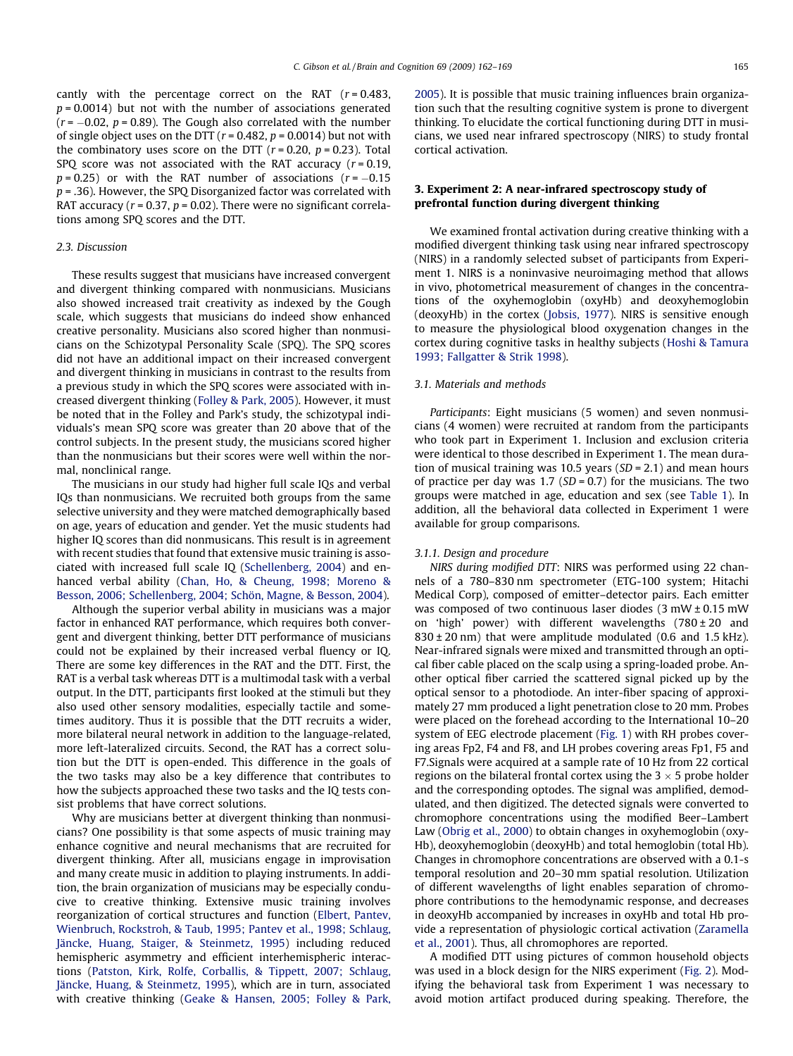cantly with the percentage correct on the RAT  $(r = 0.483,$  $p = 0.0014$ ) but not with the number of associations generated  $(r = -0.02, p = 0.89)$ . The Gough also correlated with the number of single object uses on the DTT ( $r = 0.482$ ,  $p = 0.0014$ ) but not with the combinatory uses score on the DTT  $(r = 0.20, p = 0.23)$ . Total SPQ score was not associated with the RAT accuracy  $(r = 0.19,$  $p = 0.25$ ) or with the RAT number of associations ( $r = -0.15$ )  $p = 0.36$ . However, the SPQ Disorganized factor was correlated with RAT accuracy ( $r = 0.37$ ,  $p = 0.02$ ). There were no significant correlations among SPQ scores and the DTT.

## 2.3. Discussion

These results suggest that musicians have increased convergent and divergent thinking compared with nonmusicians. Musicians also showed increased trait creativity as indexed by the Gough scale, which suggests that musicians do indeed show enhanced creative personality. Musicians also scored higher than nonmusicians on the Schizotypal Personality Scale (SPQ). The SPQ scores did not have an additional impact on their increased convergent and divergent thinking in musicians in contrast to the results from a previous study in which the SPQ scores were associated with increased divergent thinking ([Folley](#page-6-0) & Park, 2005). However, it must be noted that in the Folley and Park's study, the schizotypal individuals's mean SPQ score was greater than 20 above that of the control subjects. In the present study, the musicians scored higher than the nonmusicians but their scores were well within the normal, nonclinical range.

The musicians in our study had higher full scale IQs and verbal IQs than nonmusicians. We recruited both groups from the same selective university and they were matched demographically based on age, years of education and gender. Yet the music students had higher IQ scores than did nonmusicans. This result is in agreement with recent studies that found that extensive music training is associated with increased full scale IQ ([Schellenberg,](#page-7-0) 2004) and enhanced verbal ability (Chan, Ho, & [Cheung,](#page-6-0) 1998; Moreno & Besson, 2006; [Schellenberg,](#page-6-0) 2004; Schön, Magne, & Besson, 2004).

Although the superior verbal ability in musicians was a major factor in enhanced RAT performance, which requires both convergent and divergent thinking, better DTT performance of musicians could not be explained by their increased verbal fluency or IQ. There are some key differences in the RAT and the DTT. First, the RAT is a verbal task whereas DTT is a multimodal task with a verbal output. In the DTT, participants first looked at the stimuli but they also used other sensory modalities, especially tactile and sometimes auditory. Thus it is possible that the DTT recruits a wider, more bilateral neural network in addition to the language-related, more left-lateralized circuits. Second, the RAT has a correct solution but the DTT is open-ended. This difference in the goals of the two tasks may also be a key difference that contributes to how the subjects approached these two tasks and the IQ tests consist problems that have correct solutions.

Why are musicians better at divergent thinking than nonmusicians? One possibility is that some aspects of music training may enhance cognitive and neural mechanisms that are recruited for divergent thinking. After all, musicians engage in improvisation and many create music in addition to playing instruments. In addition, the brain organization of musicians may be especially conducive to creative thinking. Extensive music training involves reorganization of cortical structures and function (Elbert, [Pantev,](#page-6-0) [Wienbruch,](#page-6-0) Rockstroh, & Taub, 1995; Pantev et al., 1998; Schlaug, Jäncke, Huang, Staiger, & [Steinmetz,](#page-6-0) 1995) including reduced hemispheric asymmetry and efficient interhemispheric interactions (Patston, Kirk, Rolfe, [Corballis,](#page-7-0) & Tippett, 2007; Schlaug, Jäncke, Huang, & [Steinmetz,](#page-7-0) 1995), which are in turn, associated with creative thinking (Geake & [Hansen,](#page-6-0) 2005; Folley & Park, [2005](#page-6-0)). It is possible that music training influences brain organization such that the resulting cognitive system is prone to divergent thinking. To elucidate the cortical functioning during DTT in musicians, we used near infrared spectroscopy (NIRS) to study frontal cortical activation.

# 3. Experiment 2: A near-infrared spectroscopy study of prefrontal function during divergent thinking

We examined frontal activation during creative thinking with a modified divergent thinking task using near infrared spectroscopy (NIRS) in a randomly selected subset of participants from Experiment 1. NIRS is a noninvasive neuroimaging method that allows in vivo, photometrical measurement of changes in the concentrations of the oxyhemoglobin (oxyHb) and deoxyhemoglobin (deoxyHb) in the cortex ([Jobsis,](#page-7-0) 1977). NIRS is sensitive enough to measure the physiological blood oxygenation changes in the cortex during cognitive tasks in healthy subjects (Hoshi & [Tamura](#page-6-0) 1993; [Fallgatter](#page-6-0) & Strik 1998).

## 3.1. Materials and methods

Participants: Eight musicians (5 women) and seven nonmusicians (4 women) were recruited at random from the participants who took part in Experiment 1. Inclusion and exclusion criteria were identical to those described in Experiment 1. The mean duration of musical training was 10.5 years  $(SD = 2.1)$  and mean hours of practice per day was  $1.7$  (SD = 0.7) for the musicians. The two groups were matched in age, education and sex (see [Table](#page-2-0) 1). In addition, all the behavioral data collected in Experiment 1 were available for group comparisons.

### 3.1.1. Design and procedure

NIRS during modified DTT: NIRS was performed using 22 channels of a 780–830 nm spectrometer (ETG-100 system; Hitachi Medical Corp), composed of emitter–detector pairs. Each emitter was composed of two continuous laser diodes (3 mW ± 0.15 mW on 'high' power) with different wavelengths  $(780 \pm 20)$  and  $830 \pm 20$  nm) that were amplitude modulated (0.6 and 1.5 kHz). Near-infrared signals were mixed and transmitted through an optical fiber cable placed on the scalp using a spring-loaded probe. Another optical fiber carried the scattered signal picked up by the optical sensor to a photodiode. An inter-fiber spacing of approximately 27 mm produced a light penetration close to 20 mm. Probes were placed on the forehead according to the International 10–20 system of EEG electrode placement [\(Fig.](#page-4-0) 1) with RH probes covering areas Fp2, F4 and F8, and LH probes covering areas Fp1, F5 and F7.Signals were acquired at a sample rate of 10 Hz from 22 cortical regions on the bilateral frontal cortex using the  $3 \times 5$  probe holder and the corresponding optodes. The signal was amplified, demodulated, and then digitized. The detected signals were converted to chromophore concentrations using the modified Beer–Lambert Law [\(Obrig](#page-7-0) et al., 2000) to obtain changes in oxyhemoglobin (oxy-Hb), deoxyhemoglobin (deoxyHb) and total hemoglobin (total Hb). Changes in chromophore concentrations are observed with a 0.1-s temporal resolution and 20–30 mm spatial resolution. Utilization of different wavelengths of light enables separation of chromophore contributions to the hemodynamic response, and decreases in deoxyHb accompanied by increases in oxyHb and total Hb provide a representation of physiologic cortical activation [\(Zaramella](#page-7-0) et al., [2001\)](#page-7-0). Thus, all chromophores are reported.

A modified DTT using pictures of common household objects was used in a block design for the NIRS experiment [\(Fig.](#page-4-0) 2). Modifying the behavioral task from Experiment 1 was necessary to avoid motion artifact produced during speaking. Therefore, the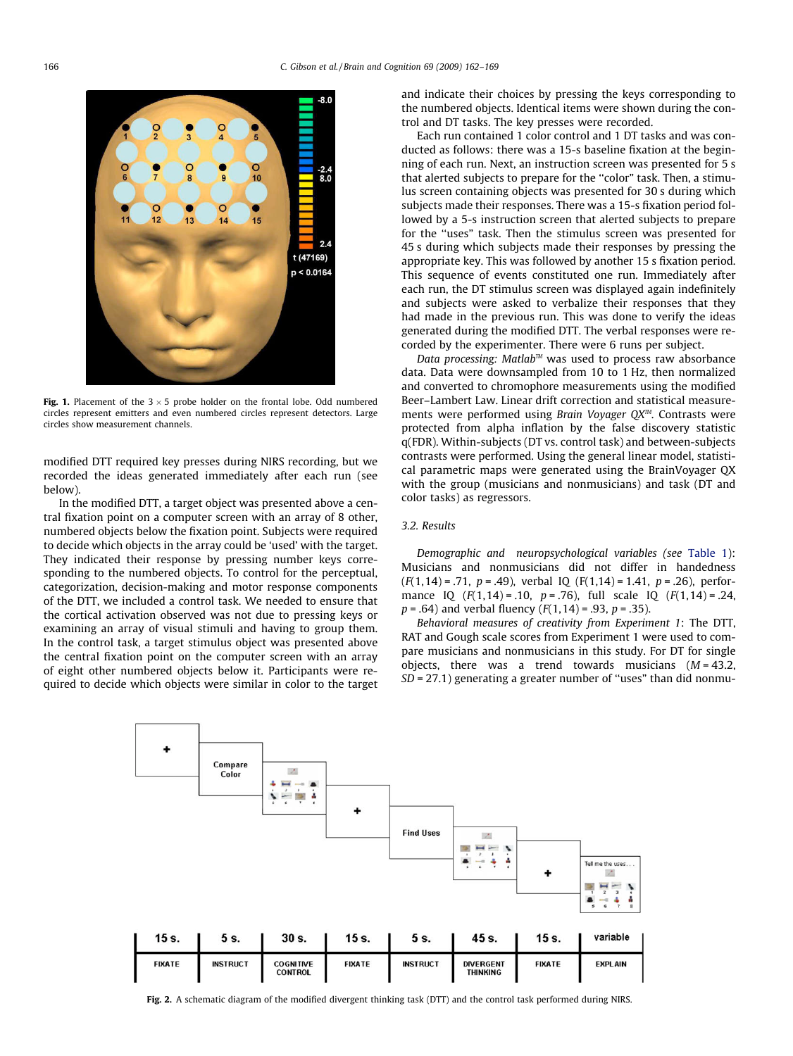<span id="page-4-0"></span>

Fig. 1. Placement of the  $3 \times 5$  probe holder on the frontal lobe. Odd numbered circles represent emitters and even numbered circles represent detectors. Large circles show measurement channels.

modified DTT required key presses during NIRS recording, but we recorded the ideas generated immediately after each run (see below).

In the modified DTT, a target object was presented above a central fixation point on a computer screen with an array of 8 other, numbered objects below the fixation point. Subjects were required to decide which objects in the array could be 'used' with the target. They indicated their response by pressing number keys corresponding to the numbered objects. To control for the perceptual, categorization, decision-making and motor response components of the DTT, we included a control task. We needed to ensure that the cortical activation observed was not due to pressing keys or examining an array of visual stimuli and having to group them. In the control task, a target stimulus object was presented above the central fixation point on the computer screen with an array of eight other numbered objects below it. Participants were required to decide which objects were similar in color to the target and indicate their choices by pressing the keys corresponding to the numbered objects. Identical items were shown during the control and DT tasks. The key presses were recorded.

Each run contained 1 color control and 1 DT tasks and was conducted as follows: there was a 15-s baseline fixation at the beginning of each run. Next, an instruction screen was presented for 5 s that alerted subjects to prepare for the ''color" task. Then, a stimulus screen containing objects was presented for 30 s during which subjects made their responses. There was a 15-s fixation period followed by a 5-s instruction screen that alerted subjects to prepare for the ''uses" task. Then the stimulus screen was presented for 45 s during which subjects made their responses by pressing the appropriate key. This was followed by another 15 s fixation period. This sequence of events constituted one run. Immediately after each run, the DT stimulus screen was displayed again indefinitely and subjects were asked to verbalize their responses that they had made in the previous run. This was done to verify the ideas generated during the modified DTT. The verbal responses were recorded by the experimenter. There were 6 runs per subject.

Data processing: Matlab<sup>™</sup> was used to process raw absorbance data. Data were downsampled from 10 to 1 Hz, then normalized and converted to chromophore measurements using the modified Beer–Lambert Law. Linear drift correction and statistical measurements were performed using Brain Voyager  $QX^{\mathbb{M}}$ . Contrasts were protected from alpha inflation by the false discovery statistic q(FDR). Within-subjects (DT vs. control task) and between-subjects contrasts were performed. Using the general linear model, statistical parametric maps were generated using the BrainVoyager QX with the group (musicians and nonmusicians) and task (DT and color tasks) as regressors.

# 3.2. Results

Demographic and neuropsychological variables (see [Table](#page-2-0) 1): Musicians and nonmusicians did not differ in handedness  $(F(1, 14) = .71, p = .49)$ , verbal IQ  $(F(1, 14) = 1.41, p = .26)$ , performance IQ  $(F(1, 14) = .10, p = .76)$ , full scale IQ  $(F(1, 14) = .24,$  $p = .64$ ) and verbal fluency ( $F(1,14) = .93$ ,  $p = .35$ ).

Behavioral measures of creativity from Experiment 1: The DTT, RAT and Gough scale scores from Experiment 1 were used to compare musicians and nonmusicians in this study. For DT for single objects, there was a trend towards musicians  $(M = 43.2,$  $SD = 27.1$ ) generating a greater number of "uses" than did nonmu-



Fig. 2. A schematic diagram of the modified divergent thinking task (DTT) and the control task performed during NIRS.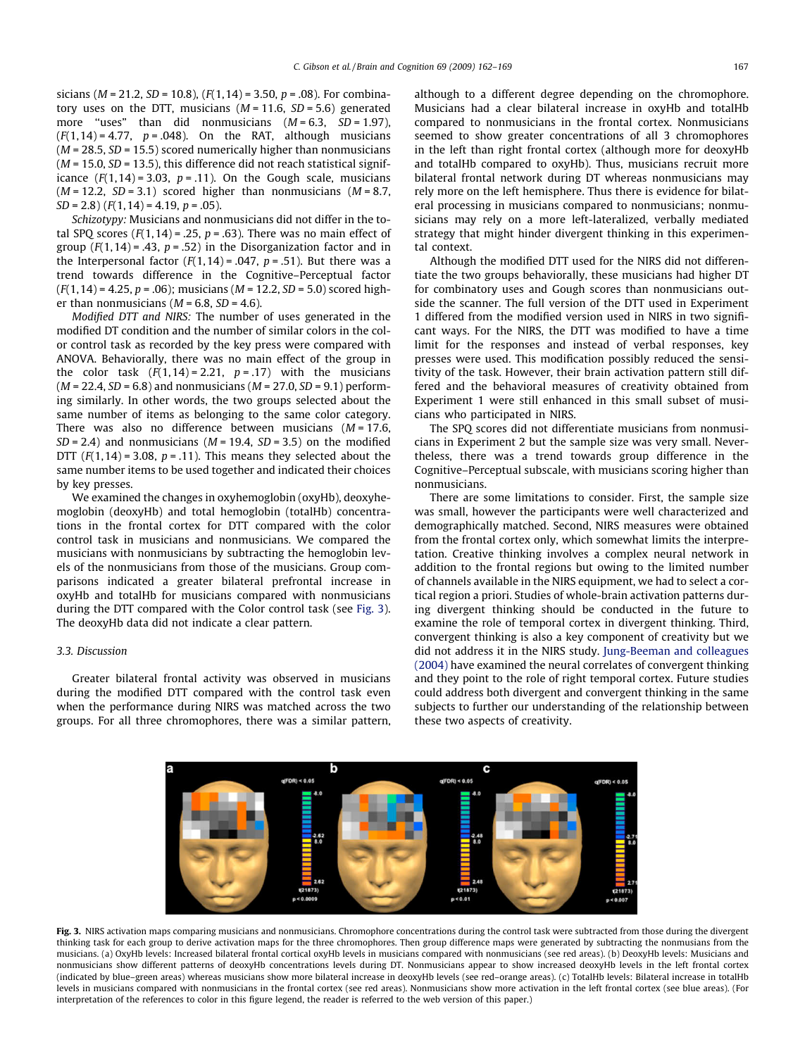sicians ( $M = 21.2$ ,  $SD = 10.8$ ), ( $F(1.14) = 3.50$ ,  $p = .08$ ). For combinatory uses on the DTT, musicians  $(M = 11.6, SD = 5.6)$  generated more "uses" than did nonmusicians  $(M = 6.3, SD = 1.97)$ ,  $(F(1, 14) = 4.77, p = .048)$ . On the RAT, although musicians  $(M = 28.5, SD = 15.5)$  scored numerically higher than nonmusicians  $(M = 15.0, SD = 13.5)$ , this difference did not reach statistical significance  $(F(1, 14) = 3.03, p = .11)$ . On the Gough scale, musicians  $(M = 12.2, SD = 3.1)$  scored higher than nonmusicians  $(M = 8.7,$  $SD = 2.8$ ) ( $F(1, 14) = 4.19$ ,  $p = .05$ ).

Schizotypy: Musicians and nonmusicians did not differ in the total SPQ scores ( $F(1,14) = .25$ ,  $p = .63$ ). There was no main effect of group  $(F(1, 14) = .43, p = .52)$  in the Disorganization factor and in the Interpersonal factor  $(F(1, 14) = .047, p = .51)$ . But there was a trend towards difference in the Cognitive–Perceptual factor  $(F(1, 14) = 4.25, p = .06)$ ; musicians  $(M = 12.2, SD = 5.0)$  scored higher than nonmusicians  $(M = 6.8, SD = 4.6)$ .

Modified DTT and NIRS: The number of uses generated in the modified DT condition and the number of similar colors in the color control task as recorded by the key press were compared with ANOVA. Behaviorally, there was no main effect of the group in the color task  $(F(1, 14) = 2.21, p = .17)$  with the musicians  $(M = 22.4, SD = 6.8)$  and nonmusicians  $(M = 27.0, SD = 9.1)$  performing similarly. In other words, the two groups selected about the same number of items as belonging to the same color category. There was also no difference between musicians  $(M = 17.6,$  $SD = 2.4$ ) and nonmusicians ( $M = 19.4$ ,  $SD = 3.5$ ) on the modified DTT  $(F(1, 14) = 3.08, p = .11)$ . This means they selected about the same number items to be used together and indicated their choices by key presses.

We examined the changes in oxyhemoglobin (oxyHb), deoxyhemoglobin (deoxyHb) and total hemoglobin (totalHb) concentrations in the frontal cortex for DTT compared with the color control task in musicians and nonmusicians. We compared the musicians with nonmusicians by subtracting the hemoglobin levels of the nonmusicians from those of the musicians. Group comparisons indicated a greater bilateral prefrontal increase in oxyHb and totalHb for musicians compared with nonmusicians during the DTT compared with the Color control task (see Fig. 3). The deoxyHb data did not indicate a clear pattern.

## 3.3. Discussion

Greater bilateral frontal activity was observed in musicians during the modified DTT compared with the control task even when the performance during NIRS was matched across the two groups. For all three chromophores, there was a similar pattern, although to a different degree depending on the chromophore. Musicians had a clear bilateral increase in oxyHb and totalHb compared to nonmusicians in the frontal cortex. Nonmusicians seemed to show greater concentrations of all 3 chromophores in the left than right frontal cortex (although more for deoxyHb and totalHb compared to oxyHb). Thus, musicians recruit more bilateral frontal network during DT whereas nonmusicians may rely more on the left hemisphere. Thus there is evidence for bilateral processing in musicians compared to nonmusicians; nonmusicians may rely on a more left-lateralized, verbally mediated strategy that might hinder divergent thinking in this experimental context.

Although the modified DTT used for the NIRS did not differentiate the two groups behaviorally, these musicians had higher DT for combinatory uses and Gough scores than nonmusicians outside the scanner. The full version of the DTT used in Experiment 1 differed from the modified version used in NIRS in two significant ways. For the NIRS, the DTT was modified to have a time limit for the responses and instead of verbal responses, key presses were used. This modification possibly reduced the sensitivity of the task. However, their brain activation pattern still differed and the behavioral measures of creativity obtained from Experiment 1 were still enhanced in this small subset of musicians who participated in NIRS.

The SPQ scores did not differentiate musicians from nonmusicians in Experiment 2 but the sample size was very small. Nevertheless, there was a trend towards group difference in the Cognitive–Perceptual subscale, with musicians scoring higher than nonmusicians.

There are some limitations to consider. First, the sample size was small, however the participants were well characterized and demographically matched. Second, NIRS measures were obtained from the frontal cortex only, which somewhat limits the interpretation. Creative thinking involves a complex neural network in addition to the frontal regions but owing to the limited number of channels available in the NIRS equipment, we had to select a cortical region a priori. Studies of whole-brain activation patterns during divergent thinking should be conducted in the future to examine the role of temporal cortex in divergent thinking. Third, convergent thinking is also a key component of creativity but we did not address it in the NIRS study. [Jung-Beeman](#page-7-0) and colleagues [\(2004\)](#page-7-0) have examined the neural correlates of convergent thinking and they point to the role of right temporal cortex. Future studies could address both divergent and convergent thinking in the same subjects to further our understanding of the relationship between these two aspects of creativity.



Fig. 3. NIRS activation maps comparing musicians and nonmusicians. Chromophore concentrations during the control task were subtracted from those during the divergent thinking task for each group to derive activation maps for the three chromophores. Then group difference maps were generated by subtracting the nonmusians from the musicians. (a) OxyHb levels: Increased bilateral frontal cortical oxyHb levels in musicians compared with nonmusicians (see red areas). (b) DeoxyHb levels: Musicians and nonmusicians show different patterns of deoxyHb concentrations levels during DT. Nonmusicians appear to show increased deoxyHb levels in the left frontal cortex (indicated by blue–green areas) whereas musicians show more bilateral increase in deoxyHb levels (see red–orange areas). (c) TotalHb levels: Bilateral increase in totalHb levels in musicians compared with nonmusicians in the frontal cortex (see red areas). Nonmusicians show more activation in the left frontal cortex (see blue areas). (For interpretation of the references to color in this figure legend, the reader is referred to the web version of this paper.)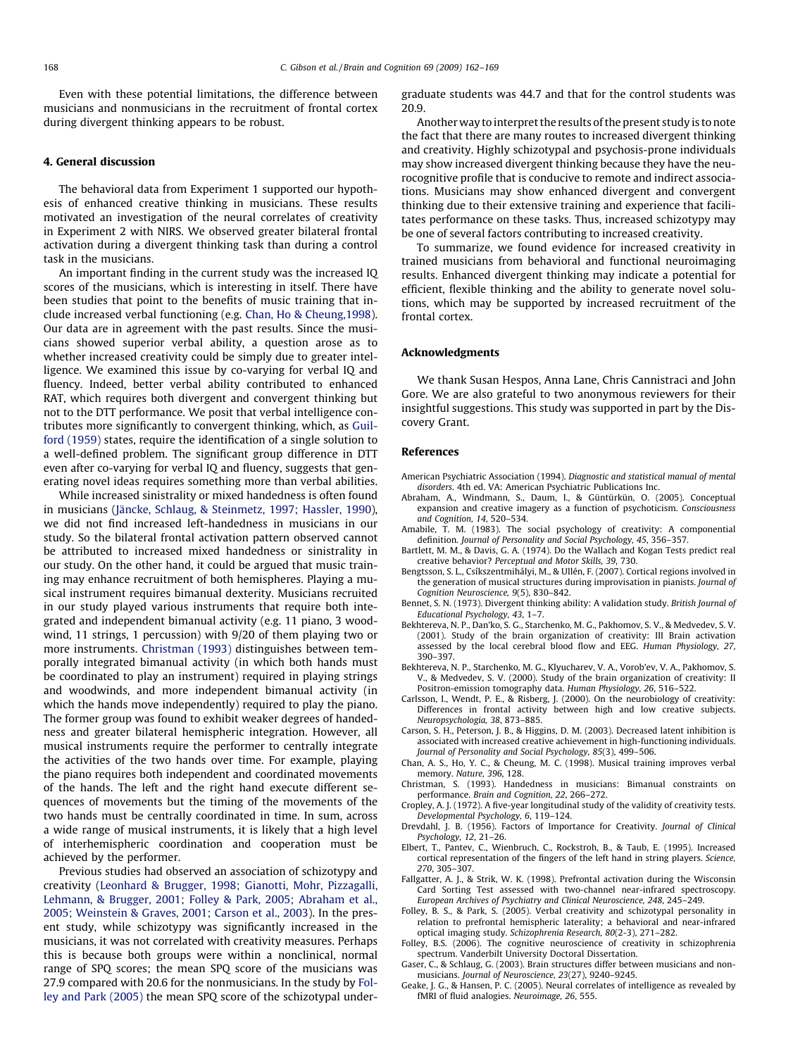<span id="page-6-0"></span>Even with these potential limitations, the difference between musicians and nonmusicians in the recruitment of frontal cortex during divergent thinking appears to be robust.

## 4. General discussion

The behavioral data from Experiment 1 supported our hypothesis of enhanced creative thinking in musicians. These results motivated an investigation of the neural correlates of creativity in Experiment 2 with NIRS. We observed greater bilateral frontal activation during a divergent thinking task than during a control task in the musicians.

An important finding in the current study was the increased IQ scores of the musicians, which is interesting in itself. There have been studies that point to the benefits of music training that include increased verbal functioning (e.g. Chan, Ho & Cheung,1998). Our data are in agreement with the past results. Since the musicians showed superior verbal ability, a question arose as to whether increased creativity could be simply due to greater intelligence. We examined this issue by co-varying for verbal IQ and fluency. Indeed, better verbal ability contributed to enhanced RAT, which requires both divergent and convergent thinking but not to the DTT performance. We posit that verbal intelligence contributes more significantly to convergent thinking, which, as [Guil](#page-7-0)ford [\(1959\)](#page-7-0) states, require the identification of a single solution to a well-defined problem. The significant group difference in DTT even after co-varying for verbal IQ and fluency, suggests that generating novel ideas requires something more than verbal abilities.

While increased sinistrality or mixed handedness is often found in musicians (Jäncke, Schlaug, & [Steinmetz,](#page-7-0) 1997; Hassler, 1990), we did not find increased left-handedness in musicians in our study. So the bilateral frontal activation pattern observed cannot be attributed to increased mixed handedness or sinistrality in our study. On the other hand, it could be argued that music training may enhance recruitment of both hemispheres. Playing a musical instrument requires bimanual dexterity. Musicians recruited in our study played various instruments that require both integrated and independent bimanual activity (e.g. 11 piano, 3 woodwind, 11 strings, 1 percussion) with 9/20 of them playing two or more instruments. Christman (1993) distinguishes between temporally integrated bimanual activity (in which both hands must be coordinated to play an instrument) required in playing strings and woodwinds, and more independent bimanual activity (in which the hands move independently) required to play the piano. The former group was found to exhibit weaker degrees of handedness and greater bilateral hemispheric integration. However, all musical instruments require the performer to centrally integrate the activities of the two hands over time. For example, playing the piano requires both independent and coordinated movements of the hands. The left and the right hand execute different sequences of movements but the timing of the movements of the two hands must be centrally coordinated in time. In sum, across a wide range of musical instruments, it is likely that a high level of interhemispheric coordination and cooperation must be achieved by the performer.

Previous studies had observed an association of schizotypy and creativity (Leonhard & Brugger, 1998; Gianotti, Mohr, Pizzagalli, Lehmann, & Brugger, 2001; Folley & Park, 2005; Abraham et al., 2005; Weinstein & Graves, 2001; Carson et al., 2003). In the present study, while schizotypy was significantly increased in the musicians, it was not correlated with creativity measures. Perhaps this is because both groups were within a nonclinical, normal range of SPQ scores; the mean SPQ score of the musicians was 27.9 compared with 20.6 for the nonmusicians. In the study by Folley and Park (2005) the mean SPQ score of the schizotypal undergraduate students was 44.7 and that for the control students was 20.9.

Another way to interpret the results of the present study is to note the fact that there are many routes to increased divergent thinking and creativity. Highly schizotypal and psychosis-prone individuals may show increased divergent thinking because they have the neurocognitive profile that is conducive to remote and indirect associations. Musicians may show enhanced divergent and convergent thinking due to their extensive training and experience that facilitates performance on these tasks. Thus, increased schizotypy may be one of several factors contributing to increased creativity.

To summarize, we found evidence for increased creativity in trained musicians from behavioral and functional neuroimaging results. Enhanced divergent thinking may indicate a potential for efficient, flexible thinking and the ability to generate novel solutions, which may be supported by increased recruitment of the frontal cortex.

#### Acknowledgments

We thank Susan Hespos, Anna Lane, Chris Cannistraci and John Gore. We are also grateful to two anonymous reviewers for their insightful suggestions. This study was supported in part by the Discovery Grant.

#### References

- American Psychiatric Association (1994). Diagnostic and statistical manual of mental disorders. 4th ed. VA: American Psychiatric Publications Inc.
- Abraham, A., Windmann, S., Daum, I., & Güntürkün, O. (2005). Conceptual expansion and creative imagery as a function of psychoticism. Consciousness and Cognition, 14, 520–534.
- Amabile, T. M. (1983). The social psychology of creativity: A componential definition. Journal of Personality and Social Psychology, 45, 356–357.
- Bartlett, M. M., & Davis, G. A. (1974). Do the Wallach and Kogan Tests predict real creative behavior? Perceptual and Motor Skills, 39, 730.
- Bengtsson, S. L., Csíkszentmihályi, M., & Ullén, F. (2007). Cortical regions involved in the generation of musical structures during improvisation in pianists. Journal of Cognition Neuroscience, 9(5), 830–842.
- Bennet, S. N. (1973). Divergent thinking ability: A validation study. British Journal of Educational Psychology, 43, 1–7.
- Bekhtereva, N. P., Dan'ko, S. G., Starchenko, M. G., Pakhomov, S. V., & Medvedev, S. V. (2001). Study of the brain organization of creativity: III Brain activation assessed by the local cerebral blood flow and EEG. Human Physiology, 27, 390–397.
- Bekhtereva, N. P., Starchenko, M. G., Klyucharev, V. A., Vorob'ev, V. A., Pakhomov, S. V., & Medvedev, S. V. (2000). Study of the brain organization of creativity: II Positron-emission tomography data. Human Physiology, 26, 516–522.
- Carlsson, I., Wendt, P. E., & Risberg, J. (2000). On the neurobiology of creativity: Differences in frontal activity between high and low creative subjects. Neuropsychologia, 38, 873–885.
- Carson, S. H., Peterson, J. B., & Higgins, D. M. (2003). Decreased latent inhibition is associated with increased creative achievement in high-functioning individuals. Journal of Personality and Social Psychology, 85(3), 499–506.
- Chan, A. S., Ho, Y. C., & Cheung, M. C. (1998). Musical training improves verbal memory. Nature, 396, 128.
- Christman, S. (1993). Handedness in musicians: Bimanual constraints on performance. Brain and Cognition, 22, 266–272.
- Cropley, A. J. (1972). A five-year longitudinal study of the validity of creativity tests. Developmental Psychology, 6, 119–124.
- Drevdahl, J. B. (1956). Factors of Importance for Creativity. Journal of Clinical Psychology, 12, 21–26.
- Elbert, T., Pantev, C., Wienbruch, C., Rockstroh, B., & Taub, E. (1995). Increased cortical representation of the fingers of the left hand in string players. Science, 270, 305–307.
- Fallgatter, A. J., & Strik, W. K. (1998). Prefrontal activation during the Wisconsin Card Sorting Test assessed with two-channel near-infrared spectroscopy. European Archives of Psychiatry and Clinical Neuroscience, 248, 245–249.
- Folley, B. S., & Park, S. (2005). Verbal creativity and schizotypal personality in relation to prefrontal hemispheric laterality; a behavioral and near-infrared optical imaging study. Schizophrenia Research, 80(2-3), 271–282.
- Folley, B.S. (2006). The cognitive neuroscience of creativity in schizophrenia spectrum. Vanderbilt University Doctoral Dissertation.
- Gaser, C., & Schlaug, G. (2003). Brain structures differ between musicians and nonmusicians. Journal of Neuroscience, 23(27), 9240–9245.
- Geake, J. G., & Hansen, P. C. (2005). Neural correlates of intelligence as revealed by fMRI of fluid analogies. Neuroimage, 26, 555.